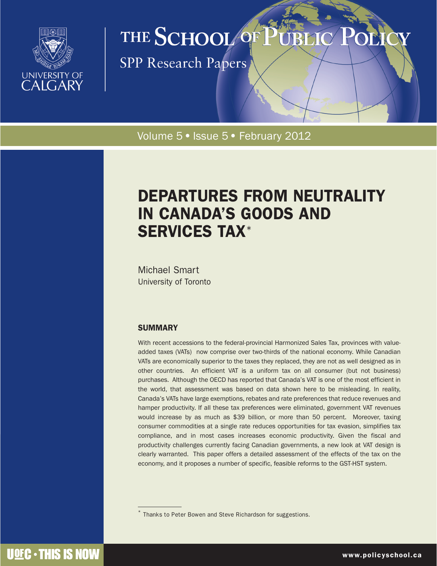

# THE SCHOOL OF

**SPP Research Papers** 

# Volume 5 · Issue 5 · February 2012

# DEPARTURES FROM NEUTRALITY IN CANADA'S GOODS AND SERVICES TAX\*

Michael Smart University of Toronto

# **SUMMARY**

With recent accessions to the federal-provincial Harmonized Sales Tax, provinces with valueadded taxes (VATs) now comprise over two-thirds of the national economy. While Canadian VATs are economically superior to the taxes they replaced, they are not as well designed as in other countries. An efficient VAT is a uniform tax on all consumer (but not business) purchases. Although the OECD has reported that Canada's VAT is one of the most efficient in the world, that assessment was based on data shown here to be misleading. In reality, Canada's VATs have large exemptions, rebates and rate preferences that reduce revenues and hamper productivity. If all these tax preferences were eliminated, government VAT revenues would increase by as much as \$39 billion, or more than 50 percent. Moreover, taxing consumer commodities at a single rate reduces opportunities for tax evasion, simplifies tax compliance, and in most cases increases economic productivity. Given the fiscal and productivity challenges currently facing Canadian governments, a new look at VAT design is clearly warranted. This paper offers a detailed assessment of the effects of the tax on the economy, and it proposes a number of specific, feasible reforms to the GST-HST system.

**ULEC · THIS IS NOW** 

Thanks to Peter Bowen and Steve Richardson for suggestions.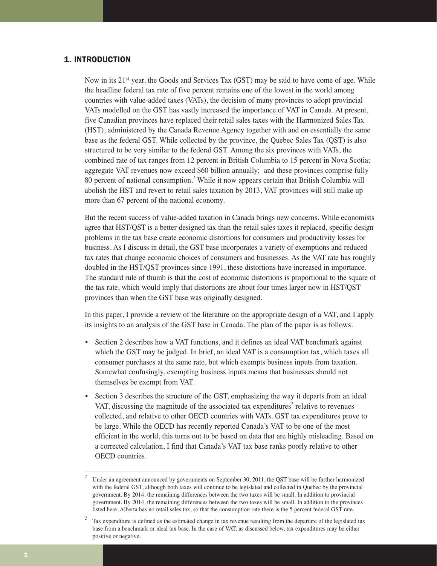# 1. INTRODUCTION

Now in its 21st year, the Goods and Services Tax (GST) may be said to have come of age. While the headline federal tax rate of five percent remains one of the lowest in the world among countries with value-added taxes (VATs), the decision of many provinces to adopt provincial VATs modelled on the GST has vastly increased the importance of VAT in Canada. At present, five Canadian provinces have replaced their retail sales taxes with the Harmonized Sales Tax (HST), administered by the Canada Revenue Agency together with and on essentially the same base as the federal GST. While collected by the province, the Quebec Sales Tax (QST) is also structured to be very similar to the federal GST. Among the six provinces with VATs, the combined rate of tax ranges from 12 percent in British Columbia to 15 percent in Nova Scotia; aggregate VAT revenues now exceed \$60 billion annually; and these provinces comprise fully 80 percent of national consumption.*<sup>1</sup>* While it now appears certain that British Columbia will abolish the HST and revert to retail sales taxation by 2013, VAT provinces will still make up more than 67 percent of the national economy.

But the recent success of value-added taxation in Canada brings new concerns. While economists agree that HST/QST is a better-designed tax than the retail sales taxes it replaced, specific design problems in the tax base create economic distortions for consumers and productivity losses for business. As I discuss in detail, the GST base incorporates a variety of exemptions and reduced tax rates that change economic choices of consumers and businesses. As the VAT rate has roughly doubled in the HST/QST provinces since 1991, these distortions have increased in importance. The standard rule of thumb is that the cost of economic distortions is proportional to the square of the tax rate, which would imply that distortions are about four times larger now in HST/QST provinces than when the GST base was originally designed.

In this paper, I provide a review of the literature on the appropriate design of a VAT, and I apply its insights to an analysis of the GST base in Canada. The plan of the paper is as follows.

- Section 2 describes how a VAT functions, and it defines an ideal VAT benchmark against which the GST may be judged. In brief, an ideal VAT is a consumption tax, which taxes all consumer purchases at the same rate, but which exempts business inputs from taxation. Somewhat confusingly, exempting business inputs means that businesses should not themselves be exempt from VAT.
- Section 3 describes the structure of the GST, emphasizing the way it departs from an ideal VAT, discussing the magnitude of the associated tax expenditures*<sup>2</sup>* relative to revenues collected, and relative to other OECD countries with VATs. GST tax expenditures prove to be large. While the OECD has recently reported Canada's VAT to be one of the most efficient in the world, this turns out to be based on data that are highly misleading. Based on a corrected calculation, I find that Canada's VAT tax base ranks poorly relative to other OECD countries.

*<sup>1</sup>* Under an agreement announced by governments on September 30, 2011, the QST base will be further harmonized with the federal GST, although both taxes will continue to be legislated and collected in Quebec by the provincial government. By 2014, the remaining differences between the two taxes will be small. In addition to provincial government. By 2014, the remaining differences between the two taxes will be small. In addition to the provinces listed here, Alberta has no retail sales tax, so that the consumption rate there is the 5 percent federal GST rate.

<sup>&</sup>lt;sup>2</sup> Tax expenditure is defined as the estimated change in tax revenue resulting from the departure of the legislated tax base from a benchmark or ideal tax base. In the case of VAT, as discussed below, tax expenditures may be either positive or negative.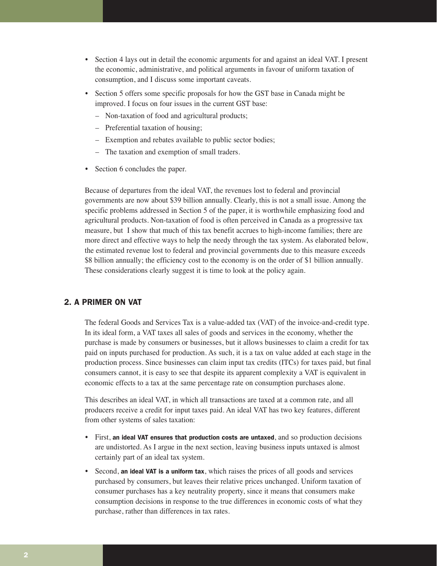- Section 4 lays out in detail the economic arguments for and against an ideal VAT. I present the economic, administrative, and political arguments in favour of uniform taxation of consumption, and I discuss some important caveats.
- Section 5 offers some specific proposals for how the GST base in Canada might be improved. I focus on four issues in the current GST base:
	- Non-taxation of food and agricultural products;
	- Preferential taxation of housing;
	- Exemption and rebates available to public sector bodies;
	- The taxation and exemption of small traders.
- Section 6 concludes the paper.

Because of departures from the ideal VAT, the revenues lost to federal and provincial governments are now about \$39 billion annually. Clearly, this is not a small issue. Among the specific problems addressed in Section 5 of the paper, it is worthwhile emphasizing food and agricultural products. Non-taxation of food is often perceived in Canada as a progressive tax measure, but I show that much of this tax benefit accrues to high-income families; there are more direct and effective ways to help the needy through the tax system. As elaborated below, the estimated revenue lost to federal and provincial governments due to this measure exceeds \$8 billion annually; the efficiency cost to the economy is on the order of \$1 billion annually. These considerations clearly suggest it is time to look at the policy again.

# 2. A PRIMER ON VAT

The federal Goods and Services Tax is a value-added tax (VAT) of the invoice-and-credit type. In its ideal form, a VAT taxes all sales of goods and services in the economy, whether the purchase is made by consumers or businesses, but it allows businesses to claim a credit for tax paid on inputs purchased for production. As such, it is a tax on value added at each stage in the production process. Since businesses can claim input tax credits (ITCs) for taxes paid, but final consumers cannot, it is easy to see that despite its apparent complexity a VAT is equivalent in economic effects to a tax at the same percentage rate on consumption purchases alone.

This describes an ideal VAT, in which all transactions are taxed at a common rate, and all producers receive a credit for input taxes paid. An ideal VAT has two key features, different from other systems of sales taxation:

- First, an ideal VAT ensures that production costs are untaxed, and so production decisions are undistorted. As I argue in the next section, leaving business inputs untaxed is almost certainly part of an ideal tax system.
- Second, an ideal VAT is a uniform tax, which raises the prices of all goods and services purchased by consumers, but leaves their relative prices unchanged. Uniform taxation of consumer purchases has a key neutrality property, since it means that consumers make consumption decisions in response to the true differences in economic costs of what they purchase, rather than differences in tax rates.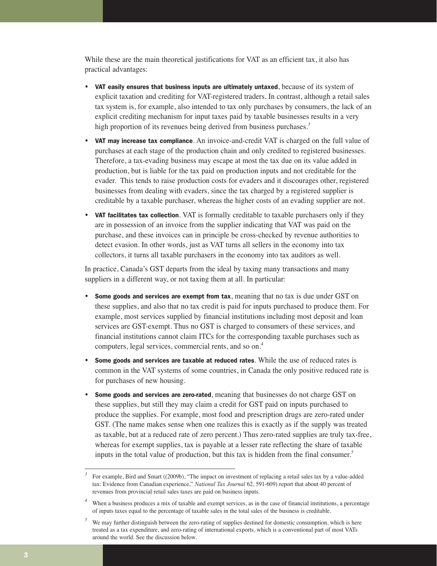While these are the main theoretical justifications for VAT as an efficient tax, it also has practical advantages:

- VAT easily ensures that business inputs are ultimately untaxed, because of its system of explicit taxation and crediting for VAT-registered traders. In contrast, although a retail sales tax system is, for example, also intended to tax only purchases by consumers, the lack of an explicit crediting mechanism for input taxes paid by taxable businesses results in a very high proportion of its revenues being derived from business purchases.*<sup>3</sup>*
- VAT may increase tax compliance. An invoice-and-credit VAT is charged on the full value of purchases at each stage of the production chain and only credited to registered businesses. Therefore, a tax-evading business may escape at most the tax due on its value added in production, but is liable for the tax paid on production inputs and not creditable for the evader. This tends to raise production costs for evaders and it discourages other, registered businesses from dealing with evaders, since the tax charged by a registered supplier is creditable by a taxable purchaser, whereas the higher costs of an evading supplier are not.
- **VAT facilitates tax collection.** VAT is formally creditable to taxable purchasers only if they are in possession of an invoice from the supplier indicating that VAT was paid on the purchase, and these invoices can in principle be cross-checked by revenue authorities to detect evasion. In other words, just as VAT turns all sellers in the economy into tax collectors, it turns all taxable purchasers in the economy into tax auditors as well.

In practice, Canada's GST departs from the ideal by taxing many transactions and many suppliers in a different way, or not taxing them at all. In particular:

- **Some goods and services are exempt from tax**, meaning that no tax is due under GST on these supplies, and also that no tax credit is paid for inputs purchased to produce them. For example, most services supplied by financial institutions including most deposit and loan services are GST-exempt. Thus no GST is charged to consumers of these services, and financial institutions cannot claim ITCs for the corresponding taxable purchases such as computers, legal services, commercial rents, and so on.*<sup>4</sup>*
- Some goods and services are taxable at reduced rates. While the use of reduced rates is common in the VAT systems of some countries, in Canada the only positive reduced rate is for purchases of new housing.
- **Some goods and services are zero-rated,** meaning that businesses do not charge GST on these supplies, but still they may claim a credit for GST paid on inputs purchased to produce the supplies. For example, most food and prescription drugs are zero-rated under GST. (The name makes sense when one realizes this is exactly as if the supply was treated as taxable, but at a reduced rate of zero percent.) Thus zero-rated supplies are truly tax-free, whereas for exempt supplies, tax is payable at a lesser rate reflecting the share of taxable inputs in the total value of production, but this tax is hidden from the final consumer.*<sup>5</sup>*

*<sup>3</sup>* For example, Bird and Smart ((2009b), "The impact on investment of replacing a retail sales tax by a value-added tax: Evidence from Canadian experience," *National Tax Journal* 62, 591-609) report that about 40 percent of revenues from provincial retail sales taxes are paid on business inputs.

<sup>&</sup>lt;sup>4</sup> When a business produces a mix of taxable and exempt services, as in the case of financial institutions, a percentage of inputs taxes equal to the percentage of taxable sales in the total sales of the business is creditable.

We may further distinguish between the zero-rating of supplies destined for domestic consumption, which is here treated as a tax expenditure, and zero-rating of international exports, which is a conventional part of most VATs around the world. See the discussion below.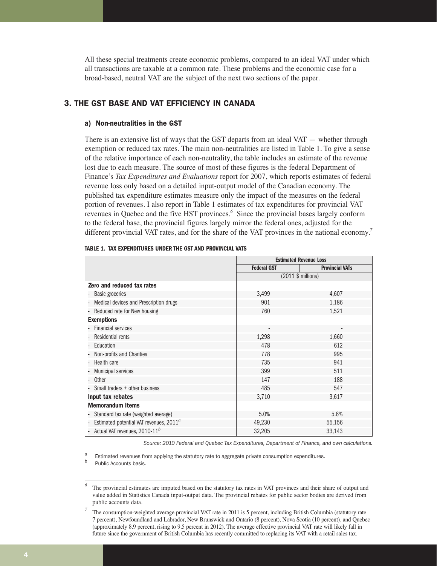All these special treatments create economic problems, compared to an ideal VAT under which all transactions are taxable at a common rate. These problems and the economic case for a broad-based, neutral VAT are the subject of the next two sections of the paper.

# 3. THE GST BASE AND VAT EFFICIENCY IN CANADA

# a) Non-neutralities in the GST

There is an extensive list of ways that the GST departs from an ideal VAT — whether through exemption or reduced tax rates. The main non-neutralities are listed in Table 1. To give a sense of the relative importance of each non-neutrality, the table includes an estimate of the revenue lost due to each measure. The source of most of these figures is the federal Department of Finance's *Tax Expenditures and Evaluations* report for 2007, which reports estimates of federal revenue loss only based on a detailed input-output model of the Canadian economy. The published tax expenditure estimates measure only the impact of the measures on the federal portion of revenues. I also report in Table 1 estimates of tax expenditures for provincial VAT revenues in Quebec and the five HST provinces.*<sup>6</sup>* Since the provincial bases largely conform to the federal base, the provincial figures largely mirror the federal ones, adjusted for the different provincial VAT rates, and for the share of the VAT provinces in the national economy.*<sup>7</sup>*

|                                                     | <b>Estimated Revenue Loss</b> |                        |  |
|-----------------------------------------------------|-------------------------------|------------------------|--|
|                                                     | <b>Federal GST</b>            | <b>Provincial VATs</b> |  |
|                                                     | $(2011 \,$ \$ millions)       |                        |  |
| Zero and reduced tax rates                          |                               |                        |  |
| Basic groceries                                     | 3,499                         | 4,607                  |  |
| Medical devices and Prescription drugs              | 901                           | 1,186                  |  |
| Reduced rate for New housing                        | 760                           | 1,521                  |  |
| <b>Exemptions</b>                                   |                               |                        |  |
| <b>Financial services</b>                           |                               |                        |  |
| Residential rents                                   | 1,298                         | 1,660                  |  |
| Education                                           | 478                           | 612                    |  |
| Non-profits and Charities                           | 778                           | 995                    |  |
| Health care                                         | 735                           | 941                    |  |
| Municipal services                                  | 399                           | 511                    |  |
| Other                                               | 147                           | 188                    |  |
| Small traders + other business                      | 485                           | 547                    |  |
| Input tax rebates                                   | 3,710                         | 3,617                  |  |
| <b>Memorandum Items</b>                             |                               |                        |  |
| Standard tax rate (weighted average)                | 5.0%                          | 5.6%                   |  |
| Estimated potential VAT revenues, 2011 <sup>a</sup> | 49,230                        | 55,156                 |  |
| Actual VAT revenues, 2010-11 <sup>b</sup>           | 32,205                        | 33,143                 |  |

#### **TABLE 1. TAX EXPENDITURES UNDER THE GST AND PROVINCIAL VATS**

*Source: 2010 Federal and Quebec Tax Expenditures, Department of Finance, and own calculations.*

*<sup>a</sup>* Estimated revenues from applying the statutory rate to aggregate private consumption expenditures. *<sup>b</sup>* Public Accounts basis.

The provincial estimates are imputed based on the statutory tax rates in VAT provinces and their share of output and value added in Statistics Canada input-output data. The provincial rebates for public sector bodies are derived from public accounts data.

*<sup>7</sup>* The consumption-weighted average provincial VAT rate in 2011 is 5 percent, including British Columbia (statutory rate 7 percent), Newfoundland and Labrador, New Brunswick and Ontario (8 percent), Nova Scotia (10 percent), and Quebec (approximately 8.9 percent, rising to 9.5 percent in 2012). The average effective provincial VAT rate will likely fall in future since the government of British Columbia has recently committed to replacing its VAT with a retail sales tax.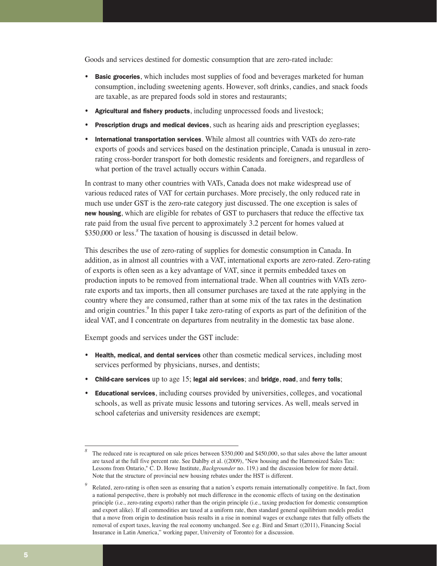Goods and services destined for domestic consumption that are zero-rated include:

- Basic groceries, which includes most supplies of food and beverages marketed for human consumption, including sweetening agents. However, soft drinks, candies, and snack foods are taxable, as are prepared foods sold in stores and restaurants;
- Agricultural and fishery products, including unprocessed foods and livestock;
- Prescription drugs and medical devices, such as hearing aids and prescription eyeglasses;
- International transportation services. While almost all countries with VATs do zero-rate exports of goods and services based on the destination principle, Canada is unusual in zerorating cross-border transport for both domestic residents and foreigners, and regardless of what portion of the travel actually occurs within Canada.

In contrast to many other countries with VATs, Canada does not make widespread use of various reduced rates of VAT for certain purchases. More precisely, the only reduced rate in much use under GST is the zero-rate category just discussed. The one exception is sales of new housing, which are eligible for rebates of GST to purchasers that reduce the effective tax rate paid from the usual five percent to approximately 3.2 percent for homes valued at \$350,000 or less.<sup>8</sup> The taxation of housing is discussed in detail below.

This describes the use of zero-rating of supplies for domestic consumption in Canada. In addition, as in almost all countries with a VAT, international exports are zero-rated. Zero-rating of exports is often seen as a key advantage of VAT, since it permits embedded taxes on production inputs to be removed from international trade. When all countries with VATs zerorate exports and tax imports, then all consumer purchases are taxed at the rate applying in the country where they are consumed, rather than at some mix of the tax rates in the destination and origin countries.*<sup>9</sup>* In this paper I take zero-rating of exports as part of the definition of the ideal VAT, and I concentrate on departures from neutrality in the domestic tax base alone.

Exempt goods and services under the GST include:

- Health, medical, and dental services other than cosmetic medical services, including most services performed by physicians, nurses, and dentists;
- Child-care services up to age 15; legal aid services; and bridge, road, and ferry tolls;
- Educational services, including courses provided by universities, colleges, and vocational schools, as well as private music lessons and tutoring services. As well, meals served in school cafeterias and university residences are exempt;

The reduced rate is recaptured on sale prices between \$350,000 and \$450,000, so that sales above the latter amount are taxed at the full five percent rate. See Dahlby et al. ((2009), "New housing and the Harmonized Sales Tax: Lessons from Ontario," C. D. Howe Institute, *Backgrounder* no. 119.) and the discussion below for more detail. Note that the structure of provincial new housing rebates under the HST is different.

*<sup>9</sup>* Related, zero-rating is often seen as ensuring that a nation's exports remain internationally competitive. In fact, from a national perspective, there is probably not much difference in the economic effects of taxing on the destination principle (i.e., zero-rating exports) rather than the origin principle (i.e., taxing production for domestic consumption and export alike). If all commodities are taxed at a uniform rate, then standard general equilibrium models predict that a move from origin to destination basis results in a rise in nominal wages or exchange rates that fully offsets the removal of export taxes, leaving the real economy unchanged. See e.g. Bird and Smart ((2011), Financing Social Insurance in Latin America," working paper, University of Toronto) for a discussion.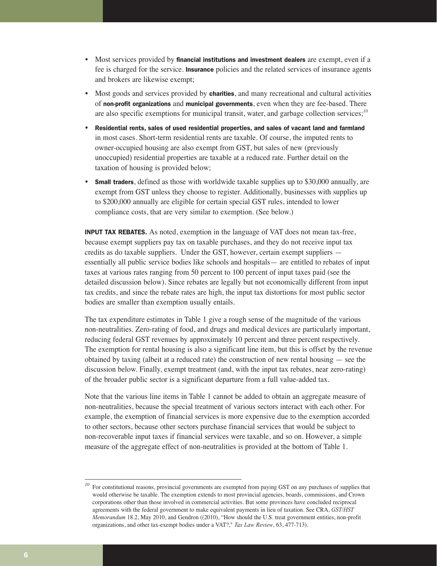- Most services provided by financial institutions and investment dealers are exempt, even if a fee is charged for the service. Insurance policies and the related services of insurance agents and brokers are likewise exempt;
- Most goods and services provided by **charities**, and many recreational and cultural activities of non-profit organizations and municipal governments, even when they are fee-based. There are also specific exemptions for municipal transit, water, and garbage collection services;*<sup>10</sup>*
- Residential rents, sales of used residential properties, and sales of vacant land and farmland in most cases. Short-term residential rents are taxable. Of course, the imputed rents to owner-occupied housing are also exempt from GST, but sales of new (previously unoccupied) residential properties are taxable at a reduced rate. Further detail on the taxation of housing is provided below;
- **Small traders**, defined as those with worldwide taxable supplies up to \$30,000 annually, are exempt from GST unless they choose to register. Additionally, businesses with supplies up to \$200,000 annually are eligible for certain special GST rules, intended to lower compliance costs, that are very similar to exemption. (See below.)

INPUT TAX REBATES. As noted, exemption in the language of VAT does not mean tax-free, because exempt suppliers pay tax on taxable purchases, and they do not receive input tax credits as do taxable suppliers. Under the GST, however, certain exempt suppliers essentially all public service bodies like schools and hospitals— are entitled to rebates of input taxes at various rates ranging from 50 percent to 100 percent of input taxes paid (see the detailed discussion below). Since rebates are legally but not economically different from input tax credits, and since the rebate rates are high, the input tax distortions for most public sector bodies are smaller than exemption usually entails.

The tax expenditure estimates in Table 1 give a rough sense of the magnitude of the various non-neutralities. Zero-rating of food, and drugs and medical devices are particularly important, reducing federal GST revenues by approximately 10 percent and three percent respectively. The exemption for rental housing is also a significant line item, but this is offset by the revenue obtained by taxing (albeit at a reduced rate) the construction of new rental housing  $-$  see the discussion below. Finally, exempt treatment (and, with the input tax rebates, near zero-rating) of the broader public sector is a significant departure from a full value-added tax.

Note that the various line items in Table 1 cannot be added to obtain an aggregate measure of non-neutralities, because the special treatment of various sectors interact with each other. For example, the exemption of financial services is more expensive due to the exemption accorded to other sectors, because other sectors purchase financial services that would be subject to non-recoverable input taxes if financial services were taxable, and so on. However, a simple measure of the aggregate effect of non-neutralities is provided at the bottom of Table 1.

<sup>&</sup>lt;sup>10</sup> For constitutional reasons, provincial governments are exempted from paying GST on any purchases of supplies that would otherwise be taxable. The exemption extends to most provincial agencies, boards, commissions, and Crown corporations other than those involved in commercial activities. But some provinces have concluded reciprocal agreements with the federal government to make equivalent payments in lieu of taxation. See CRA, *GST/HST Memorandum* 18.2, May 2010, and Gendron ((2010), "How should the U.S. treat government entities, non-profit organizations, and other tax-exempt bodies under a VAT?," *Tax Law Review*, 63, 477-713).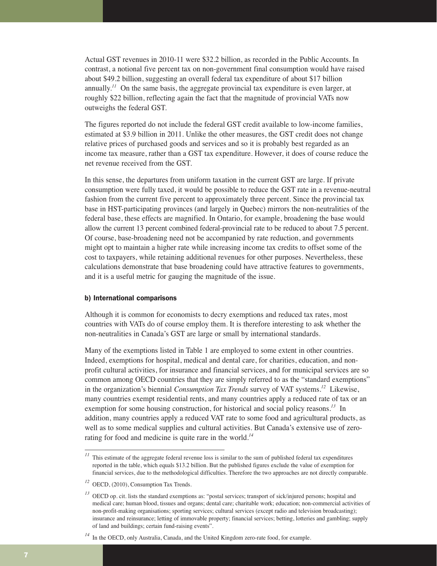Actual GST revenues in 2010-11 were \$32.2 billion, as recorded in the Public Accounts. In contrast, a notional five percent tax on non-government final consumption would have raised about \$49.2 billion, suggesting an overall federal tax expenditure of about \$17 billion annually.<sup> $11$ </sup> On the same basis, the aggregate provincial tax expenditure is even larger, at roughly \$22 billion, reflecting again the fact that the magnitude of provincial VATs now outweighs the federal GST.

The figures reported do not include the federal GST credit available to low-income families, estimated at \$3.9 billion in 2011. Unlike the other measures, the GST credit does not change relative prices of purchased goods and services and so it is probably best regarded as an income tax measure, rather than a GST tax expenditure. However, it does of course reduce the net revenue received from the GST.

In this sense, the departures from uniform taxation in the current GST are large. If private consumption were fully taxed, it would be possible to reduce the GST rate in a revenue-neutral fashion from the current five percent to approximately three percent. Since the provincial tax base in HST-participating provinces (and largely in Quebec) mirrors the non-neutralities of the federal base, these effects are magnified. In Ontario, for example, broadening the base would allow the current 13 percent combined federal-provincial rate to be reduced to about 7.5 percent. Of course, base-broadening need not be accompanied by rate reduction, and governments might opt to maintain a higher rate while increasing income tax credits to offset some of the cost to taxpayers, while retaining additional revenues for other purposes. Nevertheless, these calculations demonstrate that base broadening could have attractive features to governments, and it is a useful metric for gauging the magnitude of the issue.

# b) International comparisons

Although it is common for economists to decry exemptions and reduced tax rates, most countries with VATs do of course employ them. It is therefore interesting to ask whether the non-neutralities in Canada's GST are large or small by international standards.

Many of the exemptions listed in Table 1 are employed to some extent in other countries. Indeed, exemptions for hospital, medical and dental care, for charities, education, and nonprofit cultural activities, for insurance and financial services, and for municipal services are so common among OECD countries that they are simply referred to as the "standard exemptions" in the organization's biennial *Consumption Tax Trends* survey of VAT systems.*<sup>12</sup>* Likewise, many countries exempt residential rents, and many countries apply a reduced rate of tax or an exemption for some housing construction, for historical and social policy reasons.*<sup>13</sup>* In addition, many countries apply a reduced VAT rate to some food and agricultural products, as well as to some medical supplies and cultural activities. But Canada's extensive use of zerorating for food and medicine is quite rare in the world.*<sup>14</sup>*

 $11$  This estimate of the aggregate federal revenue loss is similar to the sum of published federal tax expenditures reported in the table, which equals \$13.2 billion. But the published figures exclude the value of exemption for financial services, due to the methodological difficulties. Therefore the two approaches are not directly comparable.

*<sup>12</sup>* OECD, (2010), Consumption Tax Trends.

<sup>&</sup>lt;sup>13</sup> OECD op. cit. lists the standard exemptions as: "postal services; transport of sick/injured persons; hospital and medical care; human blood, tissues and organs; dental care; charitable work; education; non-commercial activities of non-profit-making organisations; sporting services; cultural services (except radio and television broadcasting); insurance and reinsurance; letting of immovable property; financial services; betting, lotteries and gambling; supply of land and buildings; certain fund-raising events".

In the OECD, only Australia, Canada, and the United Kingdom zero-rate food, for example.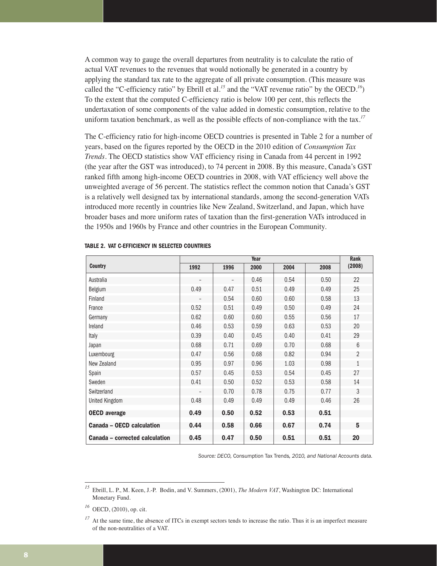A common way to gauge the overall departures from neutrality is to calculate the ratio of actual VAT revenues to the revenues that would notionally be generated in a country by applying the standard tax rate to the aggregate of all private consumption. (This measure was called the "C-efficiency ratio" by Ebrill et al.<sup>15</sup> and the "VAT revenue ratio" by the OECD.<sup>16</sup>) To the extent that the computed C-efficiency ratio is below 100 per cent, this reflects the undertaxation of some components of the value added in domestic consumption, relative to the uniform taxation benchmark, as well as the possible effects of non-compliance with the tax.*<sup>17</sup>*

The C-efficiency ratio for high-income OECD countries is presented in Table 2 for a number of years, based on the figures reported by the OECD in the 2010 edition of *Consumption Tax Trends*. The OECD statistics show VAT efficiency rising in Canada from 44 percent in 1992 (the year after the GST was introduced), to 74 percent in 2008. By this measure, Canada's GST ranked fifth among high-income OECD countries in 2008, with VAT efficiency well above the unweighted average of 56 percent. The statistics reflect the common notion that Canada's GST is a relatively well designed tax by international standards, among the second-generation VATs introduced more recently in countries like New Zealand, Switzerland, and Japan, which have broader bases and more uniform rates of taxation than the first-generation VATs introduced in the 1950s and 1960s by France and other countries in the European Community.

|                                | Year |      |      |      | <b>Rank</b> |                |
|--------------------------------|------|------|------|------|-------------|----------------|
| <b>Country</b>                 | 1992 | 1996 | 2000 | 2004 | 2008        | (2008)         |
| Australia                      |      |      | 0.46 | 0.54 | 0.50        | 22             |
| <b>Belgium</b>                 | 0.49 | 0.47 | 0.51 | 0.49 | 0.49        | 25             |
| Finland                        |      | 0.54 | 0.60 | 0.60 | 0.58        | 13             |
| France                         | 0.52 | 0.51 | 0.49 | 0.50 | 0.49        | 24             |
| Germany                        | 0.62 | 0.60 | 0.60 | 0.55 | 0.56        | 17             |
| Ireland                        | 0.46 | 0.53 | 0.59 | 0.63 | 0.53        | 20             |
| Italy                          | 0.39 | 0.40 | 0.45 | 0.40 | 0.41        | 29             |
| Japan                          | 0.68 | 0.71 | 0.69 | 0.70 | 0.68        | 6              |
| Luxembourg                     | 0.47 | 0.56 | 0.68 | 0.82 | 0.94        | $\overline{2}$ |
| New Zealand                    | 0.95 | 0.97 | 0.96 | 1.03 | 0.98        | $\mathbf{1}$   |
| Spain                          | 0.57 | 0.45 | 0.53 | 0.54 | 0.45        | 27             |
| Sweden                         | 0.41 | 0.50 | 0.52 | 0.53 | 0.58        | 14             |
| Switzerland                    |      | 0.70 | 0.78 | 0.75 | 0.77        | 3              |
| United Kingdom                 | 0.48 | 0.49 | 0.49 | 0.49 | 0.46        | 26             |
| <b>OECD</b> average            | 0.49 | 0.50 | 0.52 | 0.53 | 0.51        |                |
| Canada - OECD calculation      | 0.44 | 0.58 | 0.66 | 0.67 | 0.74        | 5              |
| Canada – corrected calculation | 0.45 | 0.47 | 0.50 | 0.51 | 0.51        | 20             |

| TABLE 2. VAT C-EFFICIENCY IN SELECTED COUNTRIES |  |
|-------------------------------------------------|--|
|-------------------------------------------------|--|

*Source: DECO,* Consumption Tax Trends*, 2010, and National Accounts data.*

*<sup>15</sup>* Ebrill, L. P., M. Keen, J.-P. Bodin, and V. Summers, (2001), *The Modern VAT*, Washington DC: International Monetary Fund.

*<sup>16</sup>* OECD, (2010), op. cit.

<sup>&</sup>lt;sup>17</sup> At the same time, the absence of ITCs in exempt sectors tends to increase the ratio. Thus it is an imperfect measure of the non-neutralities of a VAT.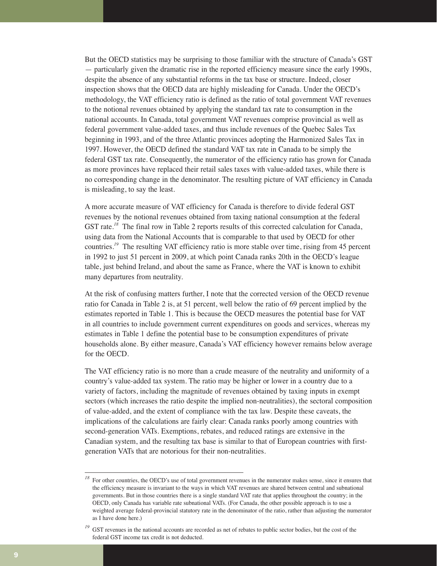But the OECD statistics may be surprising to those familiar with the structure of Canada's GST — particularly given the dramatic rise in the reported efficiency measure since the early 1990s, despite the absence of any substantial reforms in the tax base or structure. Indeed, closer inspection shows that the OECD data are highly misleading for Canada. Under the OECD's methodology, the VAT efficiency ratio is defined as the ratio of total government VAT revenues to the notional revenues obtained by applying the standard tax rate to consumption in the national accounts. In Canada, total government VAT revenues comprise provincial as well as federal government value-added taxes, and thus include revenues of the Quebec Sales Tax beginning in 1993, and of the three Atlantic provinces adopting the Harmonized Sales Tax in 1997. However, the OECD defined the standard VAT tax rate in Canada to be simply the federal GST tax rate. Consequently, the numerator of the efficiency ratio has grown for Canada as more provinces have replaced their retail sales taxes with value-added taxes, while there is no corresponding change in the denominator. The resulting picture of VAT efficiency in Canada is misleading, to say the least.

A more accurate measure of VAT efficiency for Canada is therefore to divide federal GST revenues by the notional revenues obtained from taxing national consumption at the federal GST rate.<sup>18</sup> The final row in Table 2 reports results of this corrected calculation for Canada, using data from the National Accounts that is comparable to that used by OECD for other countries.<sup>19</sup> The resulting VAT efficiency ratio is more stable over time, rising from 45 percent in 1992 to just 51 percent in 2009, at which point Canada ranks 20th in the OECD's league table, just behind Ireland, and about the same as France, where the VAT is known to exhibit many departures from neutrality.

At the risk of confusing matters further, I note that the corrected version of the OECD revenue ratio for Canada in Table 2 is, at 51 percent, well below the ratio of 69 percent implied by the estimates reported in Table 1. This is because the OECD measures the potential base for VAT in all countries to include government current expenditures on goods and services, whereas my estimates in Table 1 define the potential base to be consumption expenditures of private households alone. By either measure, Canada's VAT efficiency however remains below average for the OECD.

The VAT efficiency ratio is no more than a crude measure of the neutrality and uniformity of a country's value-added tax system. The ratio may be higher or lower in a country due to a variety of factors, including the magnitude of revenues obtained by taxing inputs in exempt sectors (which increases the ratio despite the implied non-neutralities), the sectoral composition of value-added, and the extent of compliance with the tax law. Despite these caveats, the implications of the calculations are fairly clear: Canada ranks poorly among countries with second-generation VATs. Exemptions, rebates, and reduced ratings are extensive in the Canadian system, and the resulting tax base is similar to that of European countries with firstgeneration VATs that are notorious for their non-neutralities.

<sup>&</sup>lt;sup>18</sup> For other countries, the OECD's use of total government revenues in the numerator makes sense, since it ensures that the efficiency measure is invariant to the ways in which VAT revenues are shared between central and subnational governments. But in those countries there is a single standard VAT rate that applies throughout the country; in the OECD, only Canada has variable rate subnational VATs. (For Canada, the other possible approach is to use a weighted average federal-provincial statutory rate in the denominator of the ratio, rather than adjusting the numerator as I have done here.)

GST revenues in the national accounts are recorded as net of rebates to public sector bodies, but the cost of the federal GST income tax credit is not deducted.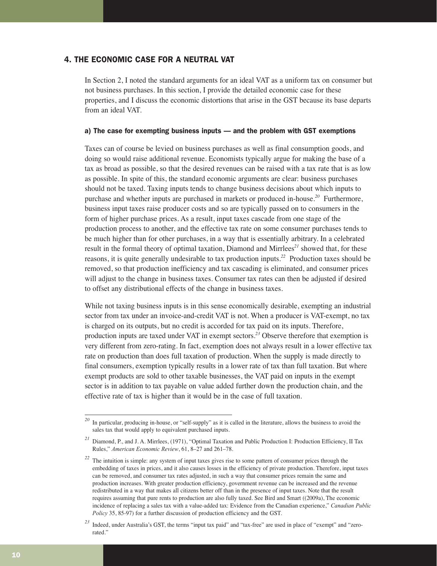# 4. THE ECONOMIC CASE FOR A NEUTRAL VAT

In Section 2, I noted the standard arguments for an ideal VAT as a uniform tax on consumer but not business purchases. In this section, I provide the detailed economic case for these properties, and I discuss the economic distortions that arise in the GST because its base departs from an ideal VAT.

# a) The case for exempting business inputs — and the problem with GST exemptions

Taxes can of course be levied on business purchases as well as final consumption goods, and doing so would raise additional revenue. Economists typically argue for making the base of a tax as broad as possible, so that the desired revenues can be raised with a tax rate that is as low as possible. In spite of this, the standard economic arguments are clear: business purchases should not be taxed. Taxing inputs tends to change business decisions about which inputs to purchase and whether inputs are purchased in markets or produced in-house.*<sup>20</sup>* Furthermore, business input taxes raise producer costs and so are typically passed on to consumers in the form of higher purchase prices. As a result, input taxes cascade from one stage of the production process to another, and the effective tax rate on some consumer purchases tends to be much higher than for other purchases, in a way that is essentially arbitrary. In a celebrated result in the formal theory of optimal taxation, Diamond and Mirrlees*<sup>21</sup>* showed that, for these reasons, it is quite generally undesirable to tax production inputs.*<sup>22</sup>* Production taxes should be removed, so that production inefficiency and tax cascading is eliminated, and consumer prices will adjust to the change in business taxes. Consumer tax rates can then be adjusted if desired to offset any distributional effects of the change in business taxes.

While not taxing business inputs is in this sense economically desirable, exempting an industrial sector from tax under an invoice-and-credit VAT is not. When a producer is VAT-exempt, no tax is charged on its outputs, but no credit is accorded for tax paid on its inputs. Therefore, production inputs are taxed under VAT in exempt sectors.*<sup>23</sup>* Observe therefore that exemption is very different from zero-rating. In fact, exemption does not always result in a lower effective tax rate on production than does full taxation of production. When the supply is made directly to final consumers, exemption typically results in a lower rate of tax than full taxation. But where exempt products are sold to other taxable businesses, the VAT paid on inputs in the exempt sector is in addition to tax payable on value added further down the production chain, and the effective rate of tax is higher than it would be in the case of full taxation.

<sup>&</sup>lt;sup>20</sup> In particular, producing in-house, or "self-supply" as it is called in the literature, allows the business to avoid the sales tax that would apply to equivalent purchased inputs.

*<sup>21</sup>* Diamond, P., and J. A. Mirrlees, (1971), "Optimal Taxation and Public Production I: Production Efficiency, II Tax Rules," *American Economic Review*, 61, 8–27 and 261–78.

*<sup>22</sup>* The intuition is simple: any system of input taxes gives rise to some pattern of consumer prices through the embedding of taxes in prices, and it also causes losses in the efficiency of private production. Therefore, input taxes can be removed, and consumer tax rates adjusted, in such a way that consumer prices remain the same and production increases. With greater production efficiency, government revenue can be increased and the revenue redistributed in a way that makes all citizens better off than in the presence of input taxes. Note that the result requires assuming that pure rents to production are also fully taxed. See Bird and Smart ((2009a), The economic incidence of replacing a sales tax with a value-added tax: Evidence from the Canadian experience," *Canadian Public Policy* 35, 85-97) for a further discussion of production efficiency and the GST.

*<sup>23</sup>* Indeed, under Australia's GST, the terms "input tax paid" and "tax-free" are used in place of "exempt" and "zerorated."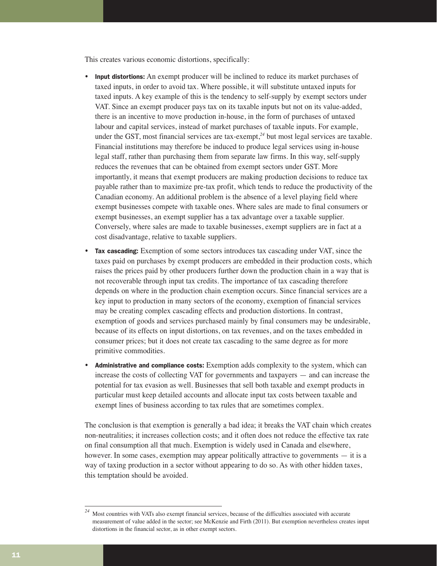This creates various economic distortions, specifically:

- **Input distortions:** An exempt producer will be inclined to reduce its market purchases of taxed inputs, in order to avoid tax. Where possible, it will substitute untaxed inputs for taxed inputs. A key example of this is the tendency to self-supply by exempt sectors under VAT. Since an exempt producer pays tax on its taxable inputs but not on its value-added, there is an incentive to move production in-house, in the form of purchases of untaxed labour and capital services, instead of market purchases of taxable inputs. For example, under the GST, most financial services are tax-exempt,*<sup>24</sup>* but most legal services are taxable. Financial institutions may therefore be induced to produce legal services using in-house legal staff, rather than purchasing them from separate law firms. In this way, self-supply reduces the revenues that can be obtained from exempt sectors under GST. More importantly, it means that exempt producers are making production decisions to reduce tax payable rather than to maximize pre-tax profit, which tends to reduce the productivity of the Canadian economy. An additional problem is the absence of a level playing field where exempt businesses compete with taxable ones. Where sales are made to final consumers or exempt businesses, an exempt supplier has a tax advantage over a taxable supplier. Conversely, where sales are made to taxable businesses, exempt suppliers are in fact at a cost disadvantage, relative to taxable suppliers.
- **Tax cascading:** Exemption of some sectors introduces tax cascading under VAT, since the taxes paid on purchases by exempt producers are embedded in their production costs, which raises the prices paid by other producers further down the production chain in a way that is not recoverable through input tax credits. The importance of tax cascading therefore depends on where in the production chain exemption occurs. Since financial services are a key input to production in many sectors of the economy, exemption of financial services may be creating complex cascading effects and production distortions. In contrast, exemption of goods and services purchased mainly by final consumers may be undesirable, because of its effects on input distortions, on tax revenues, and on the taxes embedded in consumer prices; but it does not create tax cascading to the same degree as for more primitive commodities.
- Administrative and compliance costs: Exemption adds complexity to the system, which can increase the costs of collecting VAT for governments and taxpayers — and can increase the potential for tax evasion as well. Businesses that sell both taxable and exempt products in particular must keep detailed accounts and allocate input tax costs between taxable and exempt lines of business according to tax rules that are sometimes complex.

The conclusion is that exemption is generally a bad idea; it breaks the VAT chain which creates non-neutralities; it increases collection costs; and it often does not reduce the effective tax rate on final consumption all that much. Exemption is widely used in Canada and elsewhere, however. In some cases, exemption may appear politically attractive to governments — it is a way of taxing production in a sector without appearing to do so. As with other hidden taxes, this temptation should be avoided.

*<sup>24</sup>* Most countries with VATs also exempt financial services, because of the difficulties associated with accurate measurement of value added in the sector; see McKenzie and Firth (2011). But exemption nevertheless creates input distortions in the financial sector, as in other exempt sectors.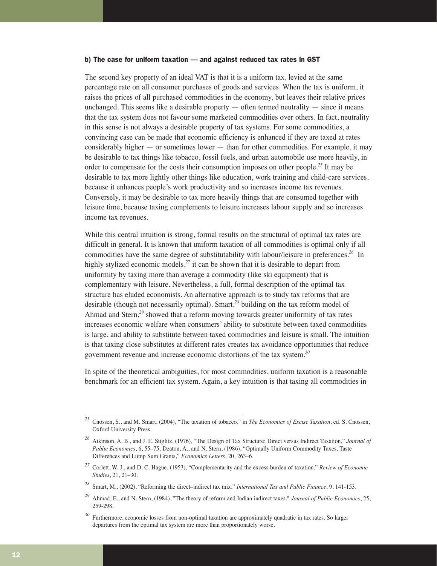#### b) The case for uniform taxation — and against reduced tax rates in GST

The second key property of an ideal VAT is that it is a uniform tax, levied at the same percentage rate on all consumer purchases of goods and services. When the tax is uniform, it raises the prices of all purchased commodities in the economy, but leaves their relative prices unchanged. This seems like a desirable property  $-$  often termed neutrality  $-$  since it means that the tax system does not favour some marketed commodities over others. In fact, neutrality in this sense is not always a desirable property of tax systems. For some commodities, a convincing case can be made that economic efficiency is enhanced if they are taxed at rates considerably higher  $-$  or sometimes lower  $-$  than for other commodities. For example, it may be desirable to tax things like tobacco, fossil fuels, and urban automobile use more heavily, in order to compensate for the costs their consumption imposes on other people.*<sup>25</sup>* It may be desirable to tax more lightly other things like education, work training and child-care services, because it enhances people's work productivity and so increases income tax revenues. Conversely, it may be desirable to tax more heavily things that are consumed together with leisure time, because taxing complements to leisure increases labour supply and so increases income tax revenues.

While this central intuition is strong, formal results on the structural of optimal tax rates are difficult in general. It is known that uniform taxation of all commodities is optimal only if all commodities have the same degree of substitutability with labour/leisure in preferences.*<sup>26</sup>* In highly stylized economic models,*<sup>27</sup>* it can be shown that it is desirable to depart from uniformity by taxing more than average a commodity (like ski equipment) that is complementary with leisure. Nevertheless, a full, formal description of the optimal tax structure has eluded economists. An alternative approach is to study tax reforms that are desirable (though not necessarily optimal). Smart,*<sup>28</sup>* building on the tax reform model of Ahmad and Stern,*<sup>29</sup>* showed that a reform moving towards greater uniformity of tax rates increases economic welfare when consumers' ability to substitute between taxed commodities is large, and ability to substitute between taxed commodities and leisure is small. The intuition is that taxing close substitutes at different rates creates tax avoidance opportunities that reduce government revenue and increase economic distortions of the tax system.*<sup>30</sup>*

In spite of the theoretical ambiguities, for most commodities, uniform taxation is a reasonable benchmark for an efficient tax system. Again, a key intuition is that taxing all commodities in

*<sup>25</sup>* Cnossen, S., and M. Smart, (2004), "The taxation of tobacco," in *The Economics of Excise Taxation*, ed. S. Cnossen, Oxford University Press.

*<sup>26</sup>* Atkinson, A. B., and J. E. Stiglitz, (1976), "The Design of Tax Structure: Direct versus Indirect Taxation," *Journal of Public Economics*, 6, 55–75; Deaton, A., and N. Stern, (1986), "Optimally Uniform Commodity Taxes, Taste Differences and Lump Sum Grants," *Economics Letters*, 20, 263–6.

*<sup>27</sup>* Corlett, W. J., and D. C. Hague, (1953), "Complementarity and the excess burden of taxation," *Review of Economic Studies*, 21, 21–30.

*<sup>28</sup>* Smart, M., (2002), "Reforming the direct–indirect tax mix," *International Tax and Public Finance*, 9, 141-153.

*<sup>29</sup>* Ahmad, E., and N. Stern, (1984), "The theory of reform and Indian indirect taxes," *Journal of Public Economics*, 25, 259-298.

*<sup>30</sup>* Furthermore, economic losses from non-optimal taxation are approximately quadratic in tax rates. So larger departures from the optimal tax system are more than proportionately worse.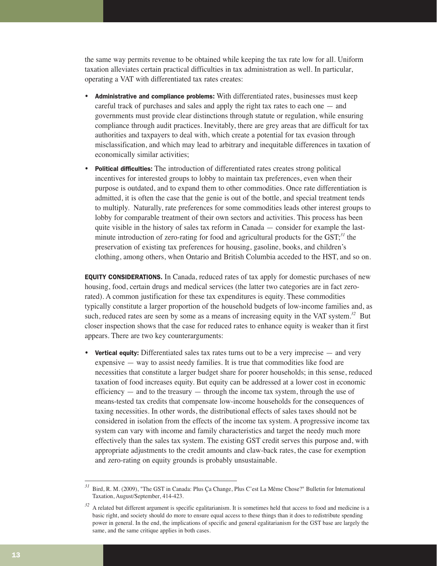the same way permits revenue to be obtained while keeping the tax rate low for all. Uniform taxation alleviates certain practical difficulties in tax administration as well. In particular, operating a VAT with differentiated tax rates creates:

- Administrative and compliance problems: With differentiated rates, businesses must keep careful track of purchases and sales and apply the right tax rates to each one — and governments must provide clear distinctions through statute or regulation, while ensuring compliance through audit practices. Inevitably, there are grey areas that are difficult for tax authorities and taxpayers to deal with, which create a potential for tax evasion through misclassification, and which may lead to arbitrary and inequitable differences in taxation of economically similar activities;
- Political difficulties: The introduction of differentiated rates creates strong political incentives for interested groups to lobby to maintain tax preferences, even when their purpose is outdated, and to expand them to other commodities. Once rate differentiation is admitted, it is often the case that the genie is out of the bottle, and special treatment tends to multiply. Naturally, rate preferences for some commodities leads other interest groups to lobby for comparable treatment of their own sectors and activities. This process has been quite visible in the history of sales tax reform in Canada — consider for example the lastminute introduction of zero-rating for food and agricultural products for the GST;*<sup>31</sup>* the preservation of existing tax preferences for housing, gasoline, books, and children's clothing, among others, when Ontario and British Columbia acceded to the HST, and so on.

EQUITY CONSIDERATIONS. In Canada, reduced rates of tax apply for domestic purchases of new housing, food, certain drugs and medical services (the latter two categories are in fact zerorated). A common justification for these tax expenditures is equity. These commodities typically constitute a larger proportion of the household budgets of low-income families and, as such, reduced rates are seen by some as a means of increasing equity in the VAT system.*<sup>32</sup>* But closer inspection shows that the case for reduced rates to enhance equity is weaker than it first appears. There are two key counterarguments:

**Vertical equity:** Differentiated sales tax rates turns out to be a very imprecise — and very expensive — way to assist needy families. It is true that commodities like food are necessities that constitute a larger budget share for poorer households; in this sense, reduced taxation of food increases equity. But equity can be addressed at a lower cost in economic efficiency — and to the treasury — through the income tax system, through the use of means-tested tax credits that compensate low-income households for the consequences of taxing necessities. In other words, the distributional effects of sales taxes should not be considered in isolation from the effects of the income tax system. A progressive income tax system can vary with income and family characteristics and target the needy much more effectively than the sales tax system. The existing GST credit serves this purpose and, with appropriate adjustments to the credit amounts and claw-back rates, the case for exemption and zero-rating on equity grounds is probably unsustainable.

*<sup>31</sup>* Bird, R. M. (2009), "The GST in Canada: Plus Ça Change, Plus C'est La Même Chose?" Bulletin for International Taxation, August/September, 414-423.

*<sup>32</sup>* A related but different argument is specific egalitarianism. It is sometimes held that access to food and medicine is a basic right, and society should do more to ensure equal access to these things than it does to redistribute spending power in general. In the end, the implications of specific and general egalitarianism for the GST base are largely the same, and the same critique applies in both cases.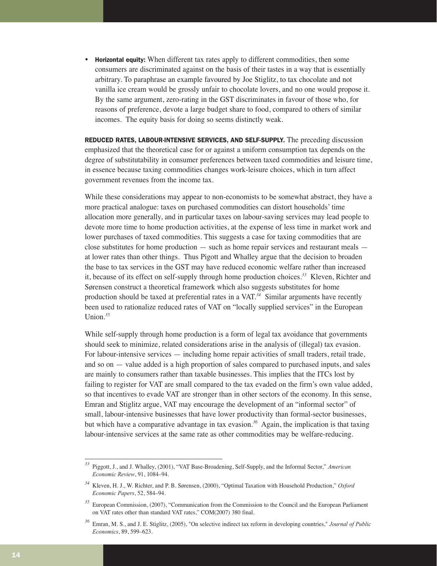• Horizontal equity: When different tax rates apply to different commodities, then some consumers are discriminated against on the basis of their tastes in a way that is essentially arbitrary. To paraphrase an example favoured by Joe Stiglitz, to tax chocolate and not vanilla ice cream would be grossly unfair to chocolate lovers, and no one would propose it. By the same argument, zero-rating in the GST discriminates in favour of those who, for reasons of preference, devote a large budget share to food, compared to others of similar incomes. The equity basis for doing so seems distinctly weak.

REDUCED RATES, LABOUR-INTENSIVE SERVICES, AND SELF-SUPPLY. The preceding discussion emphasized that the theoretical case for or against a uniform consumption tax depends on the degree of substitutability in consumer preferences between taxed commodities and leisure time, in essence because taxing commodities changes work-leisure choices, which in turn affect government revenues from the income tax.

While these considerations may appear to non-economists to be somewhat abstract, they have a more practical analogue: taxes on purchased commodities can distort households' time allocation more generally, and in particular taxes on labour-saving services may lead people to devote more time to home production activities, at the expense of less time in market work and lower purchases of taxed commodities. This suggests a case for taxing commodities that are close substitutes for home production  $-$  such as home repair services and restaurant meals  $$ at lower rates than other things. Thus Pigott and Whalley argue that the decision to broaden the base to tax services in the GST may have reduced economic welfare rather than increased it, because of its effect on self-supply through home production choices.*<sup>33</sup>* Kleven, Richter and Sørensen construct a theoretical framework which also suggests substitutes for home production should be taxed at preferential rates in a VAT.*<sup>34</sup>* Similar arguments have recently been used to rationalize reduced rates of VAT on "locally supplied services" in the European Union $35$ 

While self-supply through home production is a form of legal tax avoidance that governments should seek to minimize, related considerations arise in the analysis of (illegal) tax evasion. For labour-intensive services — including home repair activities of small traders, retail trade, and so on — value added is a high proportion of sales compared to purchased inputs, and sales are mainly to consumers rather than taxable businesses. This implies that the ITCs lost by failing to register for VAT are small compared to the tax evaded on the firm's own value added, so that incentives to evade VAT are stronger than in other sectors of the economy. In this sense, Emran and Stiglitz argue, VAT may encourage the development of an "informal sector" of small, labour-intensive businesses that have lower productivity than formal-sector businesses, but which have a comparative advantage in tax evasion.*<sup>36</sup>* Again, the implication is that taxing labour-intensive services at the same rate as other commodities may be welfare-reducing.

*<sup>33</sup>* Piggott, J., and J. Whalley, (2001), "VAT Base-Broadening, Self-Supply, and the Informal Sector," *American Economic Review*, 91, 1084–94.

*<sup>34</sup>* Kleven, H. J., W. Richter, and P. B. Sørensen, (2000), "Optimal Taxation with Household Production," *Oxford Economic Papers*, 52, 584–94.

*<sup>35</sup>* European Commission, (2007), "Communication from the Commission to the Council and the European Parliament on VAT rates other than standard VAT rates," COM(2007) 380 final.

*<sup>36</sup>* Emran, M. S., and J. E. Stiglitz, (2005), "On selective indirect tax reform in developing countries," *Journal of Public Economics*, 89, 599–623.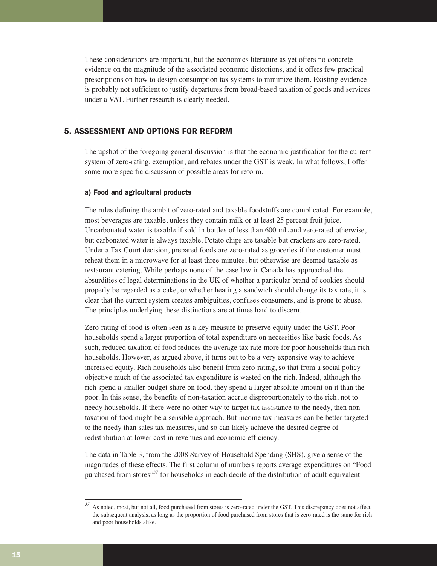These considerations are important, but the economics literature as yet offers no concrete evidence on the magnitude of the associated economic distortions, and it offers few practical prescriptions on how to design consumption tax systems to minimize them. Existing evidence is probably not sufficient to justify departures from broad-based taxation of goods and services under a VAT. Further research is clearly needed.

# 5. ASSESSMENT AND OPTIONS FOR REFORM

The upshot of the foregoing general discussion is that the economic justification for the current system of zero-rating, exemption, and rebates under the GST is weak. In what follows, I offer some more specific discussion of possible areas for reform.

# a) Food and agricultural products

The rules defining the ambit of zero-rated and taxable foodstuffs are complicated. For example, most beverages are taxable, unless they contain milk or at least 25 percent fruit juice. Uncarbonated water is taxable if sold in bottles of less than 600 mL and zero-rated otherwise, but carbonated water is always taxable. Potato chips are taxable but crackers are zero-rated. Under a Tax Court decision, prepared foods are zero-rated as groceries if the customer must reheat them in a microwave for at least three minutes, but otherwise are deemed taxable as restaurant catering. While perhaps none of the case law in Canada has approached the absurdities of legal determinations in the UK of whether a particular brand of cookies should properly be regarded as a cake, or whether heating a sandwich should change its tax rate, it is clear that the current system creates ambiguities, confuses consumers, and is prone to abuse. The principles underlying these distinctions are at times hard to discern.

Zero-rating of food is often seen as a key measure to preserve equity under the GST. Poor households spend a larger proportion of total expenditure on necessities like basic foods. As such, reduced taxation of food reduces the average tax rate more for poor households than rich households. However, as argued above, it turns out to be a very expensive way to achieve increased equity. Rich households also benefit from zero-rating, so that from a social policy objective much of the associated tax expenditure is wasted on the rich. Indeed, although the rich spend a smaller budget share on food, they spend a larger absolute amount on it than the poor. In this sense, the benefits of non-taxation accrue disproportionately to the rich, not to needy households. If there were no other way to target tax assistance to the needy, then nontaxation of food might be a sensible approach. But income tax measures can be better targeted to the needy than sales tax measures, and so can likely achieve the desired degree of redistribution at lower cost in revenues and economic efficiency.

The data in Table 3, from the 2008 Survey of Household Spending (SHS), give a sense of the magnitudes of these effects. The first column of numbers reports average expenditures on "Food purchased from stores"*<sup>37</sup>* for households in each decile of the distribution of adult-equivalent

<sup>&</sup>lt;sup>37</sup> As noted, most, but not all, food purchased from stores is zero-rated under the GST. This discrepancy does not affect the subsequent analysis, as long as the proportion of food purchased from stores that is zero-rated is the same for rich and poor households alike.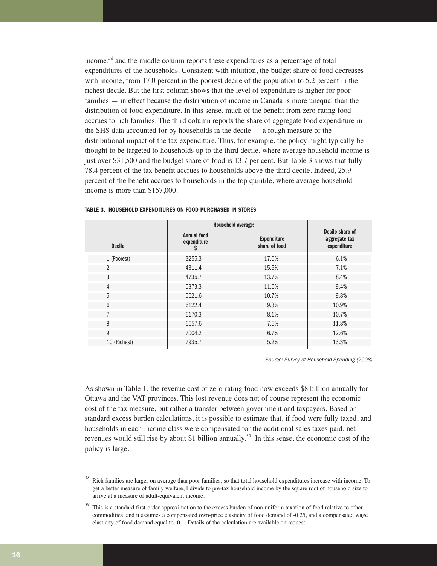income,*<sup>38</sup>* and the middle column reports these expenditures as a percentage of total expenditures of the households. Consistent with intuition, the budget share of food decreases with income, from 17.0 percent in the poorest decile of the population to 5.2 percent in the richest decile. But the first column shows that the level of expenditure is higher for poor families — in effect because the distribution of income in Canada is more unequal than the distribution of food expenditure. In this sense, much of the benefit from zero-rating food accrues to rich families. The third column reports the share of aggregate food expenditure in the SHS data accounted for by households in the decile — a rough measure of the distributional impact of the tax expenditure. Thus, for example, the policy might typically be thought to be targeted to households up to the third decile, where average household income is just over \$31,500 and the budget share of food is 13.7 per cent. But Table 3 shows that fully 78.4 percent of the tax benefit accrues to households above the third decile. Indeed, 25.9 percent of the benefit accrues to households in the top quintile, where average household income is more than \$157,000.

|                 | <b>Household average:</b>               |                                     |                                                 |
|-----------------|-----------------------------------------|-------------------------------------|-------------------------------------------------|
| <b>Decile</b>   | <b>Annual food</b><br>expenditure<br>\$ | <b>Expenditure</b><br>share of food | Decile share of<br>aggregate tax<br>expenditure |
| 1 (Poorest)     | 3255.3                                  | 17.0%                               | 6.1%                                            |
| $\overline{2}$  | 4311.4                                  | 15.5%                               | 7.1%                                            |
| 3               | 4735.7                                  | 13.7%                               | 8.4%                                            |
| 4               | 5373.3                                  | 11.6%                               | 9.4%                                            |
| 5               | 5621.6                                  | 10.7%                               | 9.8%                                            |
| $6\phantom{1}6$ | 6122.4                                  | 9.3%                                | 10.9%                                           |
| 7               | 6170.3                                  | 8.1%                                | 10.7%                                           |
| 8               | 6657.6                                  | 7.5%                                | 11.8%                                           |
| 9               | 7004.2                                  | 6.7%                                | 12.6%                                           |
| 10 (Richest)    | 7935.7                                  | 5.2%                                | 13.3%                                           |

**TABLE 3. HOUSEHOLD EXPENDITURES ON FOOD PURCHASED IN STORES**

*Source: Survey of Household Spending (2008)*

As shown in Table 1, the revenue cost of zero-rating food now exceeds \$8 billion annually for Ottawa and the VAT provinces. This lost revenue does not of course represent the economic cost of the tax measure, but rather a transfer between government and taxpayers. Based on standard excess burden calculations, it is possible to estimate that, if food were fully taxed, and households in each income class were compensated for the additional sales taxes paid, net revenues would still rise by about \$1 billion annually.*<sup>39</sup>* In this sense, the economic cost of the policy is large.

*<sup>38</sup>* Rich families are larger on average than poor families, so that total household expenditures increase with income. To get a better measure of family welfare, I divide to pre-tax household income by the square root of household size to arrive at a measure of adult-equivalent income.

<sup>&</sup>lt;sup>39</sup> This is a standard first-order approximation to the excess burden of non-uniform taxation of food relative to other commodities, and it assumes a compensated own-price elasticity of food demand of -0.25, and a compensated wage elasticity of food demand equal to -0.1. Details of the calculation are available on request.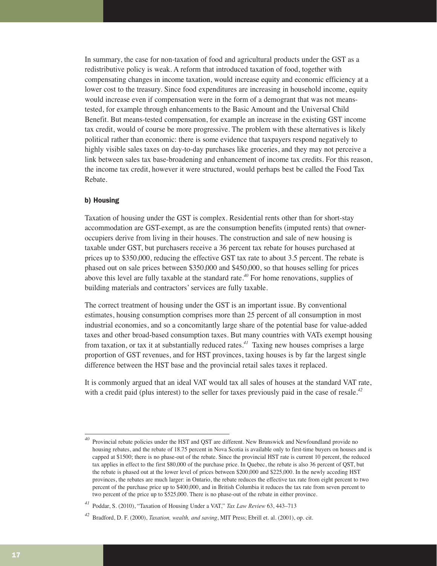In summary, the case for non-taxation of food and agricultural products under the GST as a redistributive policy is weak. A reform that introduced taxation of food, together with compensating changes in income taxation, would increase equity and economic efficiency at a lower cost to the treasury. Since food expenditures are increasing in household income, equity would increase even if compensation were in the form of a demogrant that was not meanstested, for example through enhancements to the Basic Amount and the Universal Child Benefit. But means-tested compensation, for example an increase in the existing GST income tax credit, would of course be more progressive. The problem with these alternatives is likely political rather than economic: there is some evidence that taxpayers respond negatively to highly visible sales taxes on day-to-day purchases like groceries, and they may not perceive a link between sales tax base-broadening and enhancement of income tax credits. For this reason, the income tax credit, however it were structured, would perhaps best be called the Food Tax Rebate.

# b) Housing

Taxation of housing under the GST is complex. Residential rents other than for short-stay accommodation are GST-exempt, as are the consumption benefits (imputed rents) that owneroccupiers derive from living in their houses. The construction and sale of new housing is taxable under GST, but purchasers receive a 36 percent tax rebate for houses purchased at prices up to \$350,000, reducing the effective GST tax rate to about 3.5 percent. The rebate is phased out on sale prices between \$350,000 and \$450,000, so that houses selling for prices above this level are fully taxable at the standard rate.*<sup>40</sup>* For home renovations, supplies of building materials and contractors' services are fully taxable.

The correct treatment of housing under the GST is an important issue. By conventional estimates, housing consumption comprises more than 25 percent of all consumption in most industrial economies, and so a concomitantly large share of the potential base for value-added taxes and other broad-based consumption taxes. But many countries with VATs exempt housing from taxation, or tax it at substantially reduced rates.*<sup>41</sup>* Taxing new houses comprises a large proportion of GST revenues, and for HST provinces, taxing houses is by far the largest single difference between the HST base and the provincial retail sales taxes it replaced.

It is commonly argued that an ideal VAT would tax all sales of houses at the standard VAT rate, with a credit paid (plus interest) to the seller for taxes previously paid in the case of resale.<sup>42</sup>

*<sup>40</sup>* Provincial rebate policies under the HST and QST are different. New Brunswick and Newfoundland provide no housing rebates, and the rebate of 18.75 percent in Nova Scotia is available only to first-time buyers on houses and is capped at \$1500; there is no phase-out of the rebate. Since the provincial HST rate is current 10 percent, the reduced tax applies in effect to the first \$80,000 of the purchase price. In Quebec, the rebate is also 36 percent of QST, but the rebate is phased out at the lower level of prices between \$200,000 and \$225,000. In the newly acceding HST provinces, the rebates are much larger: in Ontario, the rebate reduces the effective tax rate from eight percent to two percent of the purchase price up to \$400,000, and in British Columbia it reduces the tax rate from seven percent to two percent of the price up to \$525,000. There is no phase-out of the rebate in either province.

*<sup>41</sup>* Poddar, S. (2010), "Taxation of Housing Under a VAT," *Tax Law Review* 63, 443–713

*<sup>42</sup>* Bradford, D. F. (2000), *Taxation, wealth, and saving*, MIT Press; Ebrill et. al. (2001), op. cit.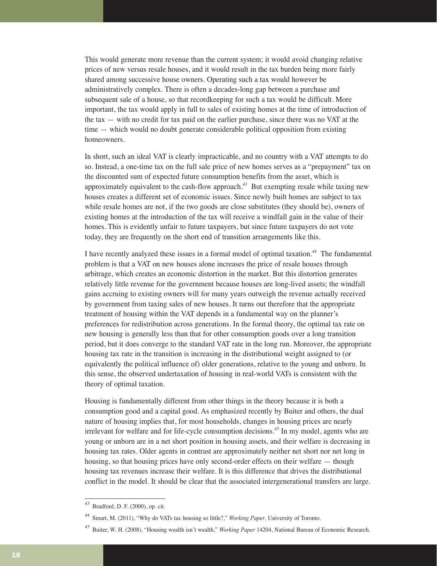This would generate more revenue than the current system; it would avoid changing relative prices of new versus resale houses, and it would result in the tax burden being more fairly shared among successive house owners. Operating such a tax would however be administratively complex. There is often a decades-long gap between a purchase and subsequent sale of a house, so that recordkeeping for such a tax would be difficult. More important, the tax would apply in full to sales of existing homes at the time of introduction of the tax — with no credit for tax paid on the earlier purchase, since there was no VAT at the time — which would no doubt generate considerable political opposition from existing homeowners.

In short, such an ideal VAT is clearly impracticable, and no country with a VAT attempts to do so. Instead, a one-time tax on the full sale price of new homes serves as a "prepayment" tax on the discounted sum of expected future consumption benefits from the asset, which is approximately equivalent to the cash-flow approach.*<sup>43</sup>* But exempting resale while taxing new houses creates a different set of economic issues. Since newly built homes are subject to tax while resale homes are not, if the two goods are close substitutes (they should be), owners of existing homes at the introduction of the tax will receive a windfall gain in the value of their homes. This is evidently unfair to future taxpayers, but since future taxpayers do not vote today, they are frequently on the short end of transition arrangements like this.

I have recently analyzed these issues in a formal model of optimal taxation.*<sup>44</sup>* The fundamental problem is that a VAT on new houses alone increases the price of resale houses through arbitrage, which creates an economic distortion in the market. But this distortion generates relatively little revenue for the government because houses are long-lived assets; the windfall gains accruing to existing owners will for many years outweigh the revenue actually received by government from taxing sales of new houses. It turns out therefore that the appropriate treatment of housing within the VAT depends in a fundamental way on the planner's preferences for redistribution across generations. In the formal theory, the optimal tax rate on new housing is generally less than that for other consumption goods over a long transition period, but it does converge to the standard VAT rate in the long run. Moreover, the appropriate housing tax rate in the transition is increasing in the distributional weight assigned to (or equivalently the political influence of) older generations, relative to the young and unborn. In this sense, the observed undertaxation of housing in real-world VATs is consistent with the theory of optimal taxation.

Housing is fundamentally different from other things in the theory because it is both a consumption good and a capital good. As emphasized recently by Buiter and others, the dual nature of housing implies that, for most households, changes in housing prices are nearly irrelevant for welfare and for life-cycle consumption decisions.*<sup>45</sup>* In my model, agents who are young or unborn are in a net short position in housing assets, and their welfare is decreasing in housing tax rates. Older agents in contrast are approximately neither net short nor net long in housing, so that housing prices have only second-order effects on their welfare — though housing tax revenues increase their welfare. It is this difference that drives the distributional conflict in the model. It should be clear that the associated intergenerational transfers are large.

*<sup>43</sup>* Bradford, D. F. (2000), op. cit.

*<sup>44</sup>* Smart, M. (2011), "Why do VATs tax housing so little?," *Working Paper*, University of Toronto.

*<sup>45</sup>* Buiter, W. H. (2008), "Housing wealth isn't wealth," *Working Paper* 14204, National Bureau of Economic Research.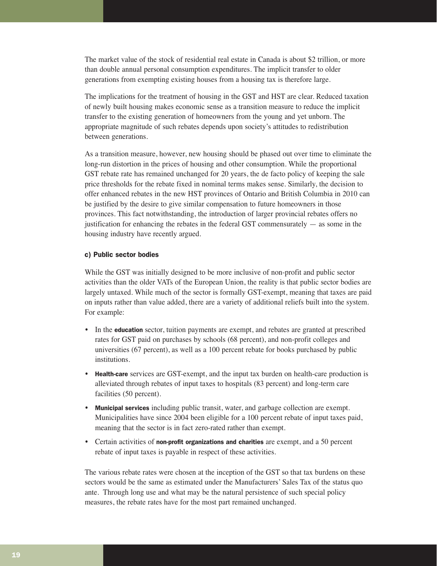The market value of the stock of residential real estate in Canada is about \$2 trillion, or more than double annual personal consumption expenditures. The implicit transfer to older generations from exempting existing houses from a housing tax is therefore large.

The implications for the treatment of housing in the GST and HST are clear. Reduced taxation of newly built housing makes economic sense as a transition measure to reduce the implicit transfer to the existing generation of homeowners from the young and yet unborn. The appropriate magnitude of such rebates depends upon society's attitudes to redistribution between generations.

As a transition measure, however, new housing should be phased out over time to eliminate the long-run distortion in the prices of housing and other consumption. While the proportional GST rebate rate has remained unchanged for 20 years, the de facto policy of keeping the sale price thresholds for the rebate fixed in nominal terms makes sense. Similarly, the decision to offer enhanced rebates in the new HST provinces of Ontario and British Columbia in 2010 can be justified by the desire to give similar compensation to future homeowners in those provinces. This fact notwithstanding, the introduction of larger provincial rebates offers no justification for enhancing the rebates in the federal GST commensurately — as some in the housing industry have recently argued.

# c) Public sector bodies

While the GST was initially designed to be more inclusive of non-profit and public sector activities than the older VATs of the European Union, the reality is that public sector bodies are largely untaxed. While much of the sector is formally GST-exempt, meaning that taxes are paid on inputs rather than value added, there are a variety of additional reliefs built into the system. For example:

- In the education sector, tuition payments are exempt, and rebates are granted at prescribed rates for GST paid on purchases by schools (68 percent), and non-profit colleges and universities (67 percent), as well as a 100 percent rebate for books purchased by public institutions.
- Health-care services are GST-exempt, and the input tax burden on health-care production is alleviated through rebates of input taxes to hospitals (83 percent) and long-term care facilities (50 percent).
- Municipal services including public transit, water, and garbage collection are exempt. Municipalities have since 2004 been eligible for a 100 percent rebate of input taxes paid, meaning that the sector is in fact zero-rated rather than exempt.
- Certain activities of non-profit organizations and charities are exempt, and a 50 percent rebate of input taxes is payable in respect of these activities.

The various rebate rates were chosen at the inception of the GST so that tax burdens on these sectors would be the same as estimated under the Manufacturers' Sales Tax of the status quo ante. Through long use and what may be the natural persistence of such special policy measures, the rebate rates have for the most part remained unchanged.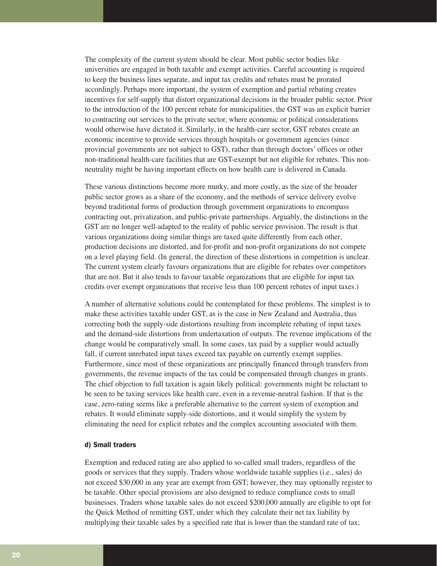The complexity of the current system should be clear. Most public sector bodies like universities are engaged in both taxable and exempt activities. Careful accounting is required to keep the business lines separate, and input tax credits and rebates must be prorated accordingly. Perhaps more important, the system of exemption and partial rebating creates incentives for self-supply that distort organizational decisions in the broader public sector. Prior to the introduction of the 100 percent rebate for municipalities, the GST was an explicit barrier to contracting out services to the private sector, where economic or political considerations would otherwise have dictated it. Similarly, in the health-care sector, GST rebates create an economic incentive to provide services through hospitals or government agencies (since provincial governments are not subject to GST), rather than through doctors' offices or other non-traditional health-care facilities that are GST-exempt but not eligible for rebates. This nonneutrality might be having important effects on how health care is delivered in Canada.

These various distinctions become more murky, and more costly, as the size of the broader public sector grows as a share of the economy, and the methods of service delivery evolve beyond traditional forms of production through government organizations to encompass contracting out, privatization, and public-private partnerships. Arguably, the distinctions in the GST are no longer well-adapted to the reality of public service provision. The result is that various organizations doing similar things are taxed quite differently from each other, production decisions are distorted, and for-profit and non-profit organizations do not compete on a level playing field. (In general, the direction of these distortions in competition is unclear. The current system clearly favours organizations that are eligible for rebates over competitors that are not. But it also tends to favour taxable organizations that are eligible for input tax credits over exempt organizations that receive less than 100 percent rebates of input taxes.)

A number of alternative solutions could be contemplated for these problems. The simplest is to make these activities taxable under GST, as is the case in New Zealand and Australia, thus correcting both the supply-side distortions resulting from incomplete rebating of input taxes and the demand-side distortions from undertaxation of outputs. The revenue implications of the change would be comparatively small. In some cases, tax paid by a supplier would actually fall, if current unrebated input taxes exceed tax payable on currently exempt supplies. Furthermore, since most of these organizations are principally financed through transfers from governments, the revenue impacts of the tax could be compensated through changes in grants. The chief objection to full taxation is again likely political: governments might be reluctant to be seen to be taxing services like health care, even in a revenue-neutral fashion. If that is the case, zero-rating seems like a preferable alternative to the current system of exemption and rebates. It would eliminate supply-side distortions, and it would simplify the system by eliminating the need for explicit rebates and the complex accounting associated with them.

# d) Small traders

Exemption and reduced rating are also applied to so-called small traders, regardless of the goods or services that they supply. Traders whose worldwide taxable supplies (i.e., sales) do not exceed \$30,000 in any year are exempt from GST; however, they may optionally register to be taxable. Other special provisions are also designed to reduce compliance costs to small businesses. Traders whose taxable sales do not exceed \$200,000 annually are eligible to opt for the Quick Method of remitting GST, under which they calculate their net tax liability by multiplying their taxable sales by a specified rate that is lower than the standard rate of tax;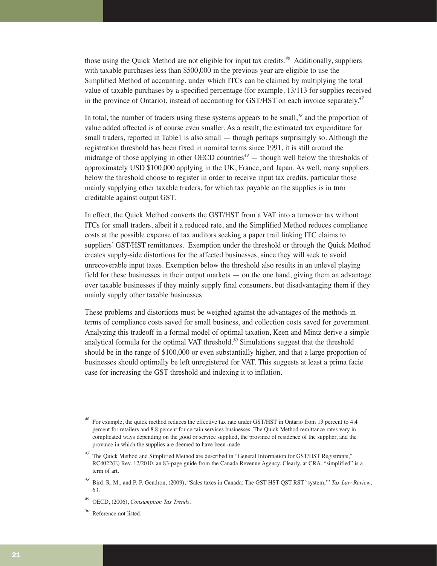those using the Quick Method are not eligible for input tax credits.*<sup>46</sup>* Additionally, suppliers with taxable purchases less than \$500,000 in the previous year are eligible to use the Simplified Method of accounting, under which ITCs can be claimed by multiplying the total value of taxable purchases by a specified percentage (for example, 13/113 for supplies received in the province of Ontario), instead of accounting for GST/HST on each invoice separately.*<sup>47</sup>*

In total, the number of traders using these systems appears to be small,*<sup>48</sup>* and the proportion of value added affected is of course even smaller. As a result, the estimated tax expenditure for small traders, reported in Table1 is also small — though perhaps surprisingly so. Although the registration threshold has been fixed in nominal terms since 1991, it is still around the midrange of those applying in other OECD countries*<sup>49</sup>* — though well below the thresholds of approximately USD \$100,000 applying in the UK, France, and Japan. As well, many suppliers below the threshold choose to register in order to receive input tax credits, particular those mainly supplying other taxable traders, for which tax payable on the supplies is in turn creditable against output GST.

In effect, the Quick Method converts the GST/HST from a VAT into a turnover tax without ITCs for small traders, albeit it a reduced rate, and the Simplified Method reduces compliance costs at the possible expense of tax auditors seeking a paper trail linking ITC claims to suppliers' GST/HST remittances. Exemption under the threshold or through the Quick Method creates supply-side distortions for the affected businesses, since they will seek to avoid unrecoverable input taxes. Exemption below the threshold also results in an unlevel playing field for these businesses in their output markets — on the one hand, giving them an advantage over taxable businesses if they mainly supply final consumers, but disadvantaging them if they mainly supply other taxable businesses.

These problems and distortions must be weighed against the advantages of the methods in terms of compliance costs saved for small business, and collection costs saved for government. Analyzing this tradeoff in a formal model of optimal taxation, Keen and Mintz derive a simple analytical formula for the optimal VAT threshold.*<sup>50</sup>* Simulations suggest that the threshold should be in the range of \$100,000 or even substantially higher, and that a large proportion of businesses should optimally be left unregistered for VAT. This suggests at least a prima facie case for increasing the GST threshold and indexing it to inflation.

For example, the quick method reduces the effective tax rate under GST/HST in Ontario from 13 percent to 4.4 percent for retailers and 8.8 percent for certain services businesses. The Quick Method remittance rates vary in complicated ways depending on the good or service supplied, the province of residence of the supplier, and the province in which the supplies are deemed to have been made.

The Quick Method and Simplified Method are described in "General Information for GST/HST Registrants," RC4022(E) Rev. 12/2010, an 83-page guide from the Canada Revenue Agency. Clearly, at CRA, "simplified" is a term of art.

*<sup>48</sup>* Bird, R. M., and P.-P. Gendron, (2009), "Sales taxes in Canada: The GST-HST-QST-RST `system,'" *Tax Law Review*, 63.

*<sup>49</sup>* OECD, (2006), *Consumption Tax Trends*.

*<sup>50</sup>* Reference not listed.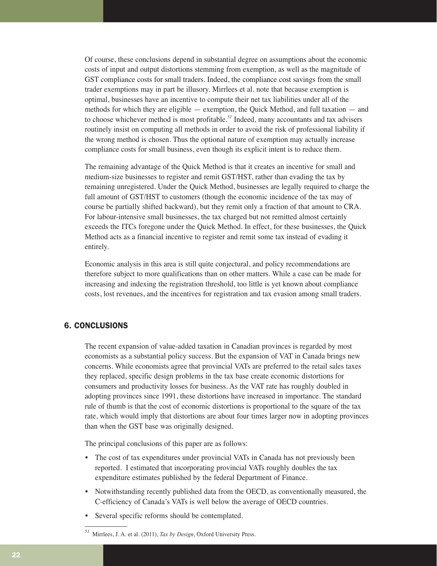Of course, these conclusions depend in substantial degree on assumptions about the economic costs of input and output distortions stemming from exemption, as well as the magnitude of GST compliance costs for small traders. Indeed, the compliance cost savings from the small trader exemptions may in part be illusory. Mirrlees et al. note that because exemption is optimal, businesses have an incentive to compute their net tax liabilities under all of the methods for which they are eligible — exemption, the Quick Method, and full taxation — and to choose whichever method is most profitable.*<sup>51</sup>* Indeed, many accountants and tax advisers routinely insist on computing all methods in order to avoid the risk of professional liability if the wrong method is chosen. Thus the optional nature of exemption may actually increase compliance costs for small business, even though its explicit intent is to reduce them.

The remaining advantage of the Quick Method is that it creates an incentive for small and medium-size businesses to register and remit GST/HST, rather than evading the tax by remaining unregistered. Under the Quick Method, businesses are legally required to charge the full amount of GST/HST to customers (though the economic incidence of the tax may of course be partially shifted backward), but they remit only a fraction of that amount to CRA. For labour-intensive small businesses, the tax charged but not remitted almost certainly exceeds the ITCs foregone under the Quick Method. In effect, for these businesses, the Quick Method acts as a financial incentive to register and remit some tax instead of evading it entirely.

Economic analysis in this area is still quite conjectural, and policy recommendations are therefore subject to more qualifications than on other matters. While a case can be made for increasing and indexing the registration threshold, too little is yet known about compliance costs, lost revenues, and the incentives for registration and tax evasion among small traders.

# 6. CONCLUSIONS

The recent expansion of value-added taxation in Canadian provinces is regarded by most economists as a substantial policy success. But the expansion of VAT in Canada brings new concerns. While economists agree that provincial VATs are preferred to the retail sales taxes they replaced, specific design problems in the tax base create economic distortions for consumers and productivity losses for business. As the VAT rate has roughly doubled in adopting provinces since 1991, these distortions have increased in importance. The standard rule of thumb is that the cost of economic distortions is proportional to the square of the tax rate, which would imply that distortions are about four times larger now in adopting provinces than when the GST base was originally designed.

The principal conclusions of this paper are as follows:

- The cost of tax expenditures under provincial VATs in Canada has not previously been reported. I estimated that incorporating provincial VATs roughly doubles the tax expenditure estimates published by the federal Department of Finance.
- Notwithstanding recently published data from the OECD, as conventionally measured, the C-efficiency of Canada's VATs is well below the average of OECD countries.
- Several specific reforms should be contemplated.

*<sup>51</sup>* Mirrlees, J. A. et al. (2011), *Tax by Design*, Oxford University Press.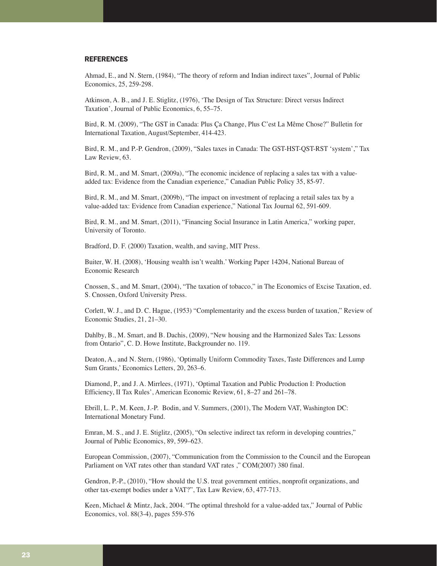# **REFERENCES**

Ahmad, E., and N. Stern, (1984), "The theory of reform and Indian indirect taxes", Journal of Public Economics, 25, 259-298.

Atkinson, A. B., and J. E. Stiglitz, (1976), 'The Design of Tax Structure: Direct versus Indirect Taxation', Journal of Public Economics, 6, 55–75.

Bird, R. M. (2009), "The GST in Canada: Plus Ça Change, Plus C'est La Même Chose?" Bulletin for International Taxation, August/September, 414-423.

Bird, R. M., and P.-P. Gendron, (2009), "Sales taxes in Canada: The GST-HST-QST-RST 'system'," Tax Law Review, 63.

Bird, R. M., and M. Smart, (2009a), "The economic incidence of replacing a sales tax with a valueadded tax: Evidence from the Canadian experience," Canadian Public Policy 35, 85-97.

Bird, R. M., and M. Smart, (2009b), "The impact on investment of replacing a retail sales tax by a value-added tax: Evidence from Canadian experience," National Tax Journal 62, 591-609.

Bird, R. M., and M. Smart, (2011), "Financing Social Insurance in Latin America," working paper, University of Toronto.

Bradford, D. F. (2000) Taxation, wealth, and saving, MIT Press.

Buiter, W. H. (2008), 'Housing wealth isn't wealth.' Working Paper 14204, National Bureau of Economic Research

Cnossen, S., and M. Smart, (2004), "The taxation of tobacco," in The Economics of Excise Taxation, ed. S. Cnossen, Oxford University Press.

Corlett, W. J., and D. C. Hague, (1953) "Complementarity and the excess burden of taxation," Review of Economic Studies, 21, 21–30.

Dahlby, B., M. Smart, and B. Dachis, (2009), "New housing and the Harmonized Sales Tax: Lessons from Ontario", C. D. Howe Institute, Backgrounder no. 119.

Deaton, A., and N. Stern, (1986), 'Optimally Uniform Commodity Taxes, Taste Differences and Lump Sum Grants,' Economics Letters, 20, 263–6.

Diamond, P., and J. A. Mirrlees, (1971), 'Optimal Taxation and Public Production I: Production Efficiency, II Tax Rules', American Economic Review, 61, 8–27 and 261–78.

Ebrill, L. P., M. Keen, J.-P. Bodin, and V. Summers, (2001), The Modern VAT, Washington DC: International Monetary Fund.

Emran, M. S., and J. E. Stiglitz, (2005), "On selective indirect tax reform in developing countries," Journal of Public Economics, 89, 599–623.

European Commission, (2007), "Communication from the Commission to the Council and the European Parliament on VAT rates other than standard VAT rates," COM(2007) 380 final.

Gendron, P.-P., (2010), "How should the U.S. treat government entities, nonprofit organizations, and other tax-exempt bodies under a VAT?", Tax Law Review, 63, 477-713.

Keen, Michael & Mintz, Jack, 2004. "The optimal threshold for a value-added tax," Journal of Public Economics, vol. 88(3-4), pages 559-576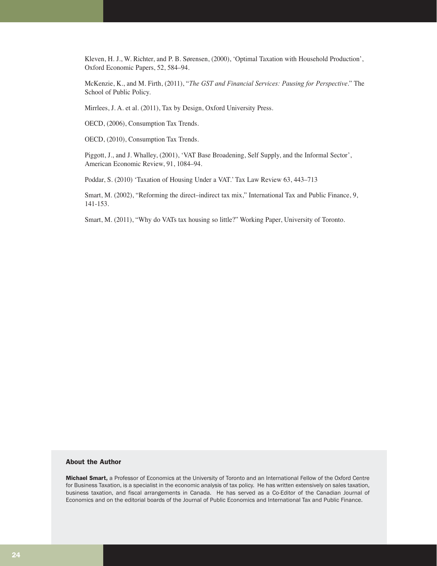Kleven, H. J., W. Richter, and P. B. Sørensen, (2000), 'Optimal Taxation with Household Production', Oxford Economic Papers, 52, 584–94.

McKenzie, K., and M. Firth, (2011), "*The GST and Financial Services: Pausing for Perspective*." The School of Public Policy.

Mirrlees, J. A. et al. (2011), Tax by Design, Oxford University Press.

OECD, (2006), Consumption Tax Trends.

OECD, (2010), Consumption Tax Trends.

Piggott, J., and J. Whalley, (2001), 'VAT Base Broadening, Self Supply, and the Informal Sector', American Economic Review, 91, 1084–94.

Poddar, S. (2010) 'Taxation of Housing Under a VAT.' Tax Law Review 63, 443–713

Smart, M. (2002), "Reforming the direct–indirect tax mix," International Tax and Public Finance, 9, 141-153.

Smart, M. (2011), "Why do VATs tax housing so little?" Working Paper, University of Toronto.

#### About the Author

Michael Smart, a Professor of Economics at the University of Toronto and an International Fellow of the Oxford Centre for Business Taxation, is a specialist in the economic analysis of tax policy. He has written extensively on sales taxation, business taxation, and fiscal arrangements in Canada. He has served as a Co-Editor of the Canadian Journal of Economics and on the editorial boards of the Journal of Public Economics and International Tax and Public Finance.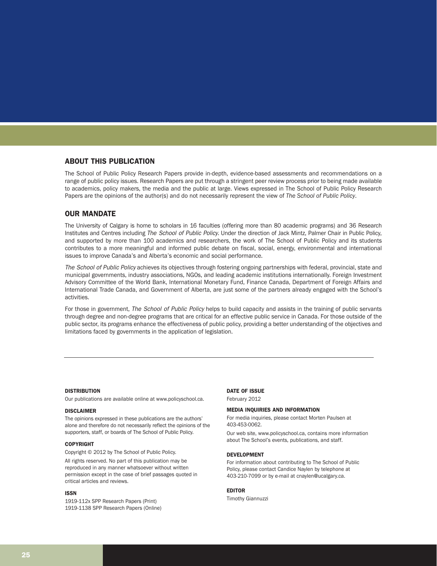# ABOUT THIS PUBLICATION

The School of Public Policy Research Papers provide in-depth, evidence-based assessments and recommendations on a range of public policy issues. Research Papers are put through a stringent peer review process prior to being made available to academics, policy makers, the media and the public at large. Views expressed in The School of Public Policy Research Papers are the opinions of the author(s) and do not necessarily represent the view of *The School of Public Policy*.

#### OUR MANDATE

The University of Calgary is home to scholars in 16 faculties (offering more than 80 academic programs) and 36 Research Institutes and Centres including The School of Public Policy. Under the direction of Jack Mintz, Palmer Chair in Public Policy, and supported by more than 100 academics and researchers, the work of The School of Public Policy and its students contributes to a more meaningful and informed public debate on fiscal, social, energy, environmental and international issues to improve Canada's and Alberta's economic and social performance.

The School of Public Policy achieves its objectives through fostering ongoing partnerships with federal, provincial, state and municipal governments, industry associations, NGOs, and leading academic institutions internationally. Foreign Investment Advisory Committee of the World Bank, International Monetary Fund, Finance Canada, Department of Foreign Affairs and International Trade Canada, and Government of Alberta, are just some of the partners already engaged with the School's activities.

For those in government, The School of Public Policy helps to build capacity and assists in the training of public servants through degree and non-degree programs that are critical for an effective public service in Canada. For those outside of the public sector, its programs enhance the effectiveness of public policy, providing a better understanding of the objectives and limitations faced by governments in the application of legislation.

#### **DISTRIBUTION**

Our publications are available online at www.policyschool.ca.

#### DISCLAIMER

The opinions expressed in these publications are the authors' alone and therefore do not necessarily reflect the opinions of the supporters, staff, or boards of The School of Public Policy.

#### COPYRIGHT

Copyright © 2012 by The School of Public Policy.

All rights reserved. No part of this publication may be reproduced in any manner whatsoever without written permission except in the case of brief passages quoted in critical articles and reviews.

#### ISSN

1919-112x SPP Research Papers (Print) 1919-1138 SPP Research Papers (Online)

# DATE OF ISSUE

#### February 2012

#### MEDIA INQUIRIES AND INFORMATION

For media inquiries, please contact Morten Paulsen at 403-453-0062.

Our web site, www.policyschool.ca, contains more information about The School's events, publications, and staff.

#### DEVELOPMENT

For information about contributing to The School of Public Policy, please contact Candice Naylen by telephone at 403-210-7099 or by e-mail at cnaylen@ucalgary.ca.

#### EDITOR

Timothy Giannuzzi